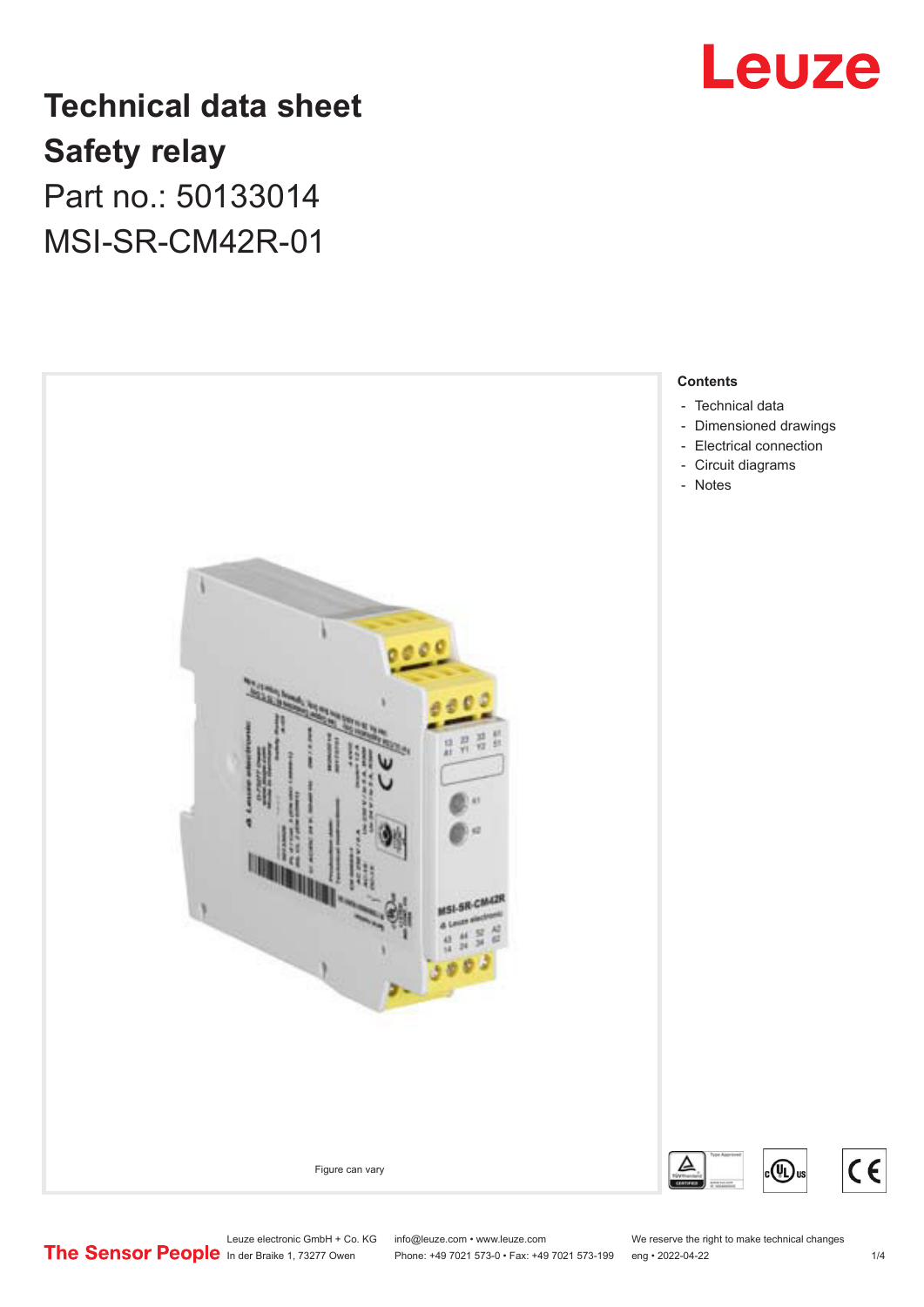

## **Technical data sheet Safety relay** Part no.: 50133014 MSI-SR-CM42R-01



Leuze electronic GmbH + Co. KG info@leuze.com • www.leuze.com We reserve the right to make technical changes<br>
The Sensor People in der Braike 1, 73277 Owen Phone: +49 7021 573-0 • Fax: +49 7021 573-199 eng • 2022-04-22

Phone: +49 7021 573-0 • Fax: +49 7021 573-199 eng • 2022-04-22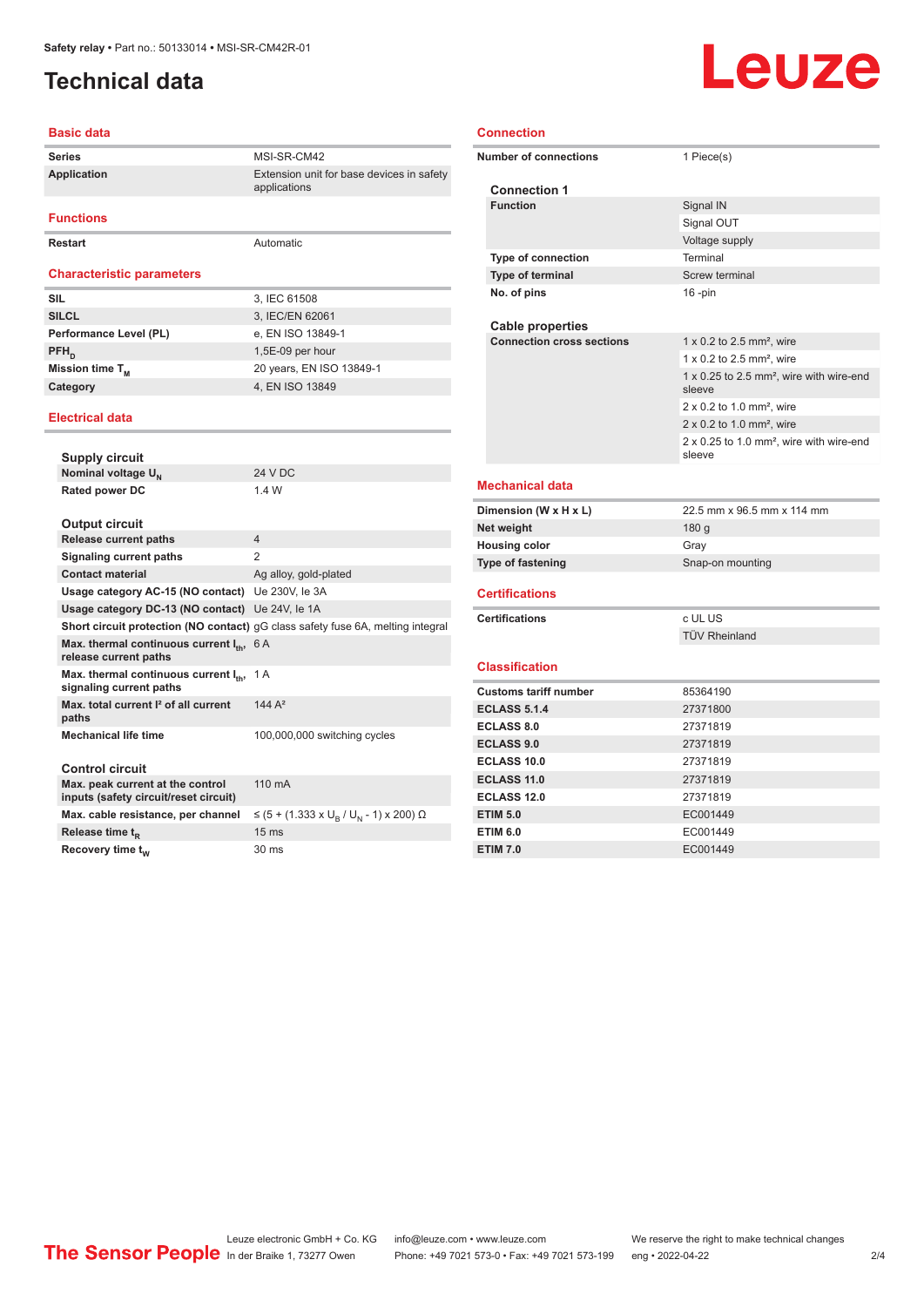### <span id="page-1-0"></span>**Technical data**

#### **Basic data**

| <b>Series</b>                    | MSI-SR-CM42                                               |
|----------------------------------|-----------------------------------------------------------|
| Application                      | Extension unit for base devices in safety<br>applications |
|                                  |                                                           |
| <b>Functions</b>                 |                                                           |
| <b>Restart</b>                   | Automatic                                                 |
|                                  |                                                           |
| <b>Characteristic parameters</b> |                                                           |
| <b>SIL</b>                       | 3, IEC 61508                                              |
| <b>SILCL</b>                     | 3, IEC/EN 62061                                           |
| Performance Level (PL)           | e, EN ISO 13849-1                                         |
| $PFH_n$                          | 1,5E-09 per hour                                          |
| Mission time T <sub>M</sub>      | 20 years, EN ISO 13849-1                                  |
| Category                         | 4, EN ISO 13849                                           |
|                                  |                                                           |

#### **Electrical data**

| <b>Supply circuit</b>                                                        |                                                                                 |
|------------------------------------------------------------------------------|---------------------------------------------------------------------------------|
| Nominal voltage U <sub>N</sub>                                               | <b>24 V DC</b>                                                                  |
| <b>Rated power DC</b>                                                        | 1.4 W                                                                           |
| <b>Output circuit</b>                                                        |                                                                                 |
| <b>Release current paths</b>                                                 | $\overline{4}$                                                                  |
| Signaling current paths                                                      | 2                                                                               |
| <b>Contact material</b>                                                      | Ag alloy, gold-plated                                                           |
| Usage category AC-15 (NO contact) Ue 230V, le 3A                             |                                                                                 |
| Usage category DC-13 (NO contact) Ue 24V, le 1A                              |                                                                                 |
|                                                                              | Short circuit protection (NO contact) qG class safety fuse 6A, melting integral |
| Max. thermal continuous current $I_{th}$ , 6 A<br>release current paths      |                                                                                 |
| Max. thermal continuous current I <sub>th</sub> ,<br>signaling current paths | 1 A                                                                             |
| Max, total current <sup>2</sup> of all current<br>paths                      | 144 $A2$                                                                        |
| <b>Mechanical life time</b>                                                  | 100,000,000 switching cycles                                                    |
| Control circuit                                                              |                                                                                 |
| Max. peak current at the control<br>inputs (safety circuit/reset circuit)    | $110 \text{ mA}$                                                                |
| Max. cable resistance, per channel                                           | ≤ (5 + (1.333 x U <sub>R</sub> / U <sub>N</sub> - 1) x 200) Ω                   |
| Release time t <sub>p</sub>                                                  | 15 <sub>ms</sub>                                                                |
| Recovery time t <sub>w</sub>                                                 | $30 \text{ ms}$                                                                 |

| <b>Connection</b>                      |                                                                |
|----------------------------------------|----------------------------------------------------------------|
| <b>Number of connections</b>           | 1 Piece(s)                                                     |
|                                        |                                                                |
| <b>Connection 1</b><br><b>Function</b> | Signal IN                                                      |
|                                        | Signal OUT                                                     |
|                                        | Voltage supply                                                 |
| <b>Type of connection</b>              | Terminal                                                       |
| Type of terminal                       | <b>Screw terminal</b>                                          |
| No. of pins                            | $16$ -pin                                                      |
|                                        |                                                                |
| <b>Cable properties</b>                |                                                                |
| <b>Connection cross sections</b>       | 1 x 0.2 to 2.5 mm <sup>2</sup> , wire                          |
|                                        | $1 \times 0.2$ to 2.5 mm <sup>2</sup> , wire                   |
|                                        | 1 x 0.25 to 2.5 mm <sup>2</sup> , wire with wire-end<br>sleeve |
|                                        | $2 \times 0.2$ to 1.0 mm <sup>2</sup> , wire                   |
|                                        | $2 \times 0.2$ to 1.0 mm <sup>2</sup> , wire                   |
|                                        | 2 x 0.25 to 1.0 mm <sup>2</sup> , wire with wire-end<br>sleeve |
| Mechanical data                        |                                                                |
| Dimension (W x H x L)                  | 22.5 mm x 96.5 mm x 114 mm                                     |
| Net weight                             | 180 g                                                          |
| <b>Housing color</b>                   | Gray                                                           |
| Type of fastening                      | Snap-on mounting                                               |
| <b>Certifications</b>                  |                                                                |
| <b>Certifications</b>                  | c UL US                                                        |
|                                        | <b>TÜV Rheinland</b>                                           |
| <b>Classification</b>                  |                                                                |
| <b>Customs tariff number</b>           | 85364190                                                       |
| <b>ECLASS 5.1.4</b>                    | 27371800                                                       |
| <b>ECLASS 8.0</b>                      | 27371819                                                       |
| <b>ECLASS 9.0</b>                      | 27371819                                                       |
| <b>ECLASS 10.0</b>                     | 27371819                                                       |
| <b>ECLASS 11.0</b>                     | 27371819                                                       |
| <b>ECLASS 12.0</b>                     | 27371819                                                       |

**ETIM 5.0** EC001449 **ETIM 6.0** EC001449 **ETIM 7.0** EC001449

# **Leuze**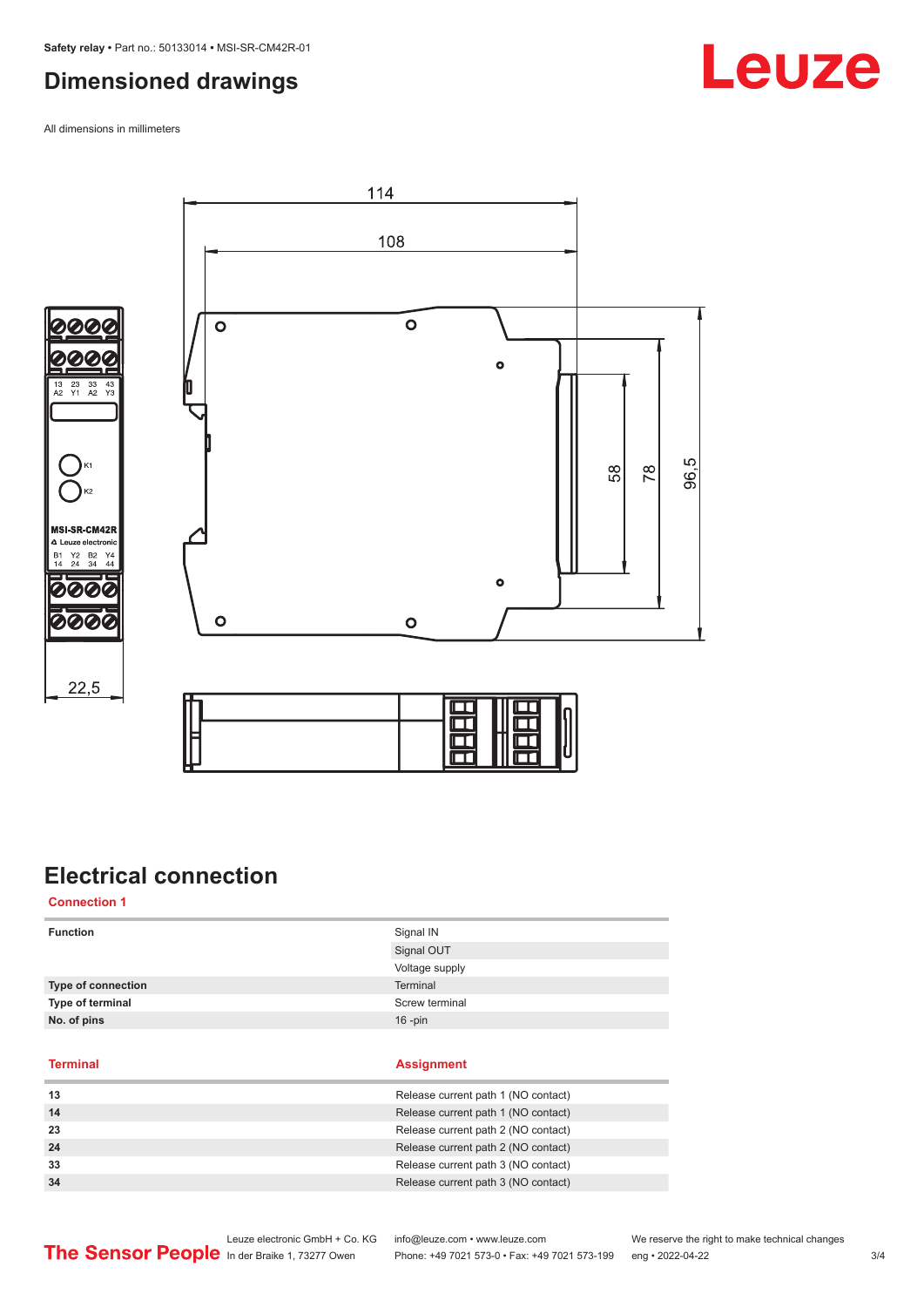#### <span id="page-2-0"></span>**Dimensioned drawings**

All dimensions in millimeters







### **Electrical connection**

**Connection 1**

| <b>Terminal</b>    | <b>Assignment</b> |
|--------------------|-------------------|
| No. of pins        | $16$ -pin         |
| Type of terminal   | Screw terminal    |
| Type of connection | Terminal          |
|                    | Voltage supply    |
|                    | Signal OUT        |
| <b>Function</b>    | Signal IN         |
|                    |                   |

| 13 | Release current path 1 (NO contact) |
|----|-------------------------------------|
| 14 | Release current path 1 (NO contact) |
| 23 | Release current path 2 (NO contact) |
| 24 | Release current path 2 (NO contact) |
| 33 | Release current path 3 (NO contact) |
| 34 | Release current path 3 (NO contact) |
|    |                                     |